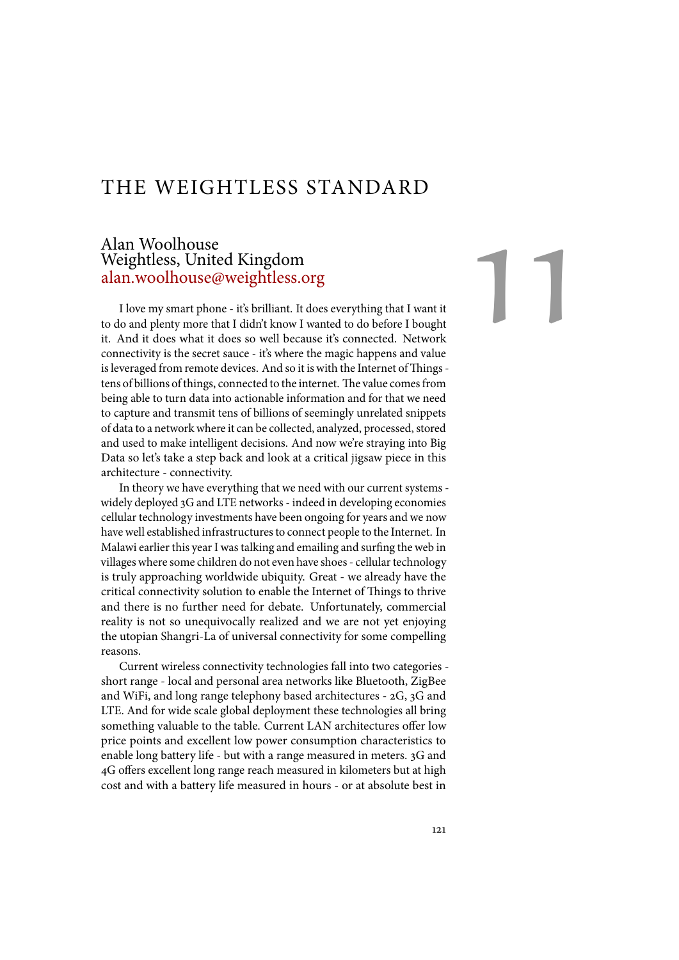# THE WEIGHTLESS STANDARD

### Alan Woolhouse Weightless, United Kingdom alan.woolhouse@weightless.org

I love my smart phone - it's brilliant. It does everything that I want it to do and plenty more that I didn't know I wanted to do before I bought it. And it does what it does so well because it's connected. Network connectivity is the secret sauce - it's where the magic happens and value is leveraged from remote devices. And so it is with the Internet of Things tens of billions of things, connected to the internet. The value comes from being able to turn data into actionable information and for that we need to capture and transmit tens of billions of seemingly unrelated snippets of data to a network where it can be collected, analyzed, processed, stored and used to make intelligent decisions. And now we're straying into Big Data so let's take a step back and look at a critical jigsaw piece in this architecture - connectivity.

In theory we have everything that we need with our current systems widely deployed 3G and LTE networks - indeed in developing economies cellular technology investments have been ongoing for years and we now have well established infrastructures to connect people to the Internet. In Malawi earlier this year I was talking and emailing and surfing the web in villages where some children do not even have shoes - cellular technology is truly approaching worldwide ubiquity. Great - we already have the critical connectivity solution to enable the Internet of Things to thrive and there is no further need for debate. Unfortunately, commercial reality is not so unequivocally realized and we are not yet enjoying the utopian Shangri-La of universal connectivity for some compelling reasons.

Current wireless connectivity technologies fall into two categories short range - local and personal area networks like Bluetooth, ZigBee and WiFi, and long range telephony based architectures - 2G, 3G and LTE. And for wide scale global deployment these technologies all bring something valuable to the table. Current LAN architectures offer low price points and excellent low power consumption characteristics to enable long battery life - but with a range measured in meters. 3G and 4G offers excellent long range reach measured in kilometers but at high cost and with a battery life measured in hours - or at absolute best in

# 11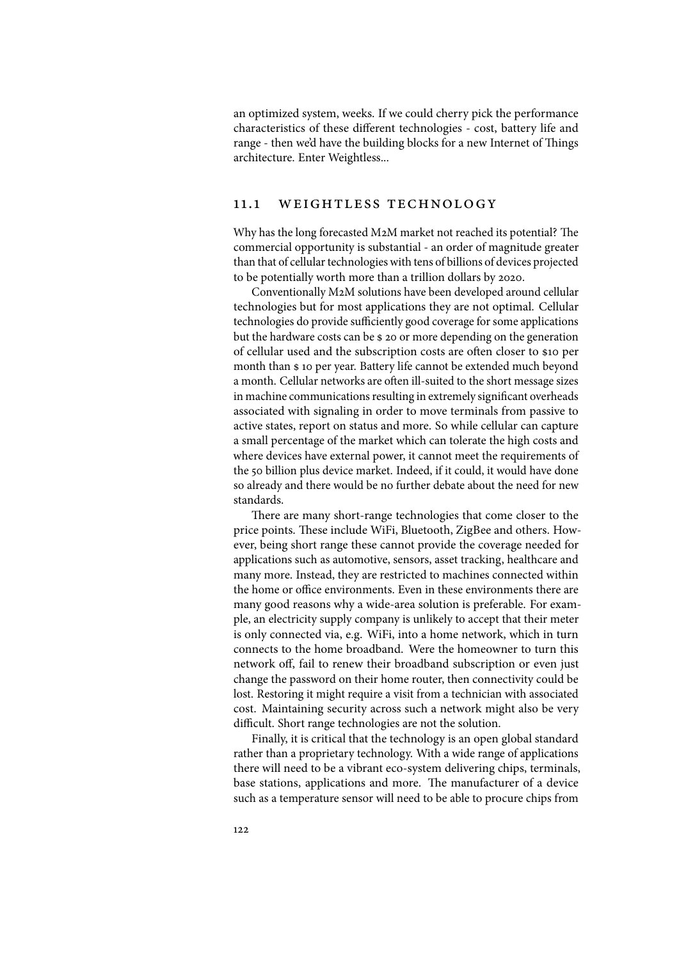an optimized system, weeks. If we could cherry pick the performance characteristics of these different technologies - cost, battery life and range - then we'd have the building blocks for a new Internet of Things architecture. Enter Weightless...

#### 11.1 weightless technology

Why has the long forecasted M2M market not reached its potential? The commercial opportunity is substantial - an order of magnitude greater than that of cellular technologies with tens of billions of devices projected to be potentially worth more than a trillion dollars by 2020.

Conventionally M2M solutions have been developed around cellular technologies but for most applications they are not optimal. Cellular technologies do provide sufficiently good coverage for some applications but the hardware costs can be \$ 20 or more depending on the generation of cellular used and the subscription costs are often closer to \$10 per month than \$ 10 per year. Battery life cannot be extended much beyond a month. Cellular networks are often ill-suited to the short message sizes in machine communications resulting in extremely significant overheads associated with signaling in order to move terminals from passive to active states, report on status and more. So while cellular can capture a small percentage of the market which can tolerate the high costs and where devices have external power, it cannot meet the requirements of the 50 billion plus device market. Indeed, if it could, it would have done so already and there would be no further debate about the need for new standards.

There are many short-range technologies that come closer to the price points. These include WiFi, Bluetooth, ZigBee and others. However, being short range these cannot provide the coverage needed for applications such as automotive, sensors, asset tracking, healthcare and many more. Instead, they are restricted to machines connected within the home or office environments. Even in these environments there are many good reasons why a wide-area solution is preferable. For example, an electricity supply company is unlikely to accept that their meter is only connected via, e.g. WiFi, into a home network, which in turn connects to the home broadband. Were the homeowner to turn this network off, fail to renew their broadband subscription or even just change the password on their home router, then connectivity could be lost. Restoring it might require a visit from a technician with associated cost. Maintaining security across such a network might also be very difficult. Short range technologies are not the solution.

Finally, it is critical that the technology is an open global standard rather than a proprietary technology. With a wide range of applications there will need to be a vibrant eco-system delivering chips, terminals, base stations, applications and more. The manufacturer of a device such as a temperature sensor will need to be able to procure chips from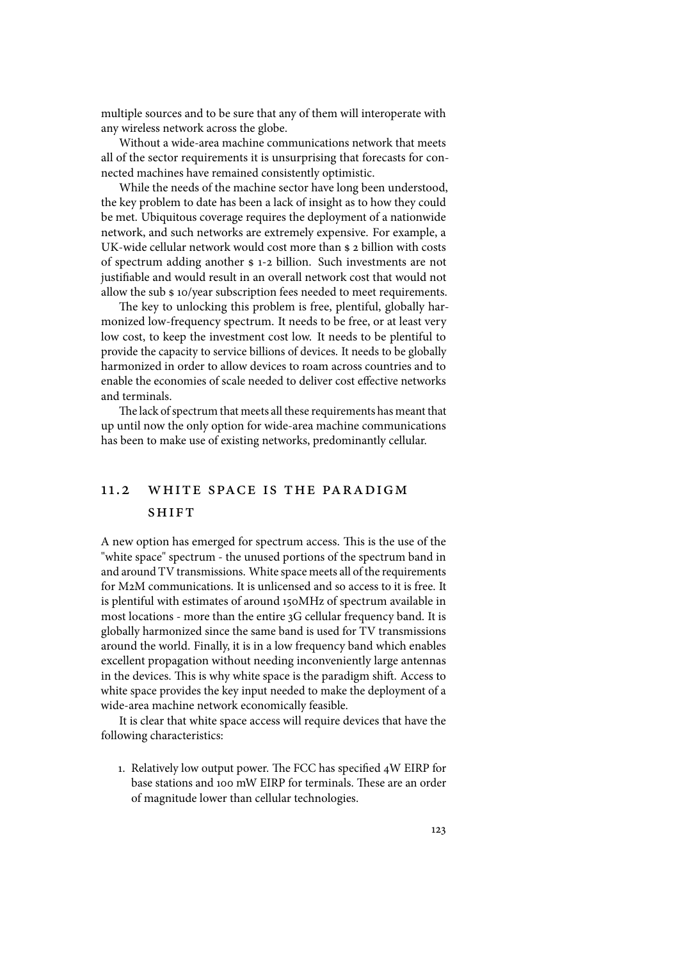multiple sources and to be sure that any of them will interoperate with any wireless network across the globe.

Without a wide-area machine communications network that meets all of the sector requirements it is unsurprising that forecasts for connected machines have remained consistently optimistic.

While the needs of the machine sector have long been understood, the key problem to date has been a lack of insight as to how they could be met. Ubiquitous coverage requires the deployment of a nationwide network, and such networks are extremely expensive. For example, a UK-wide cellular network would cost more than \$ 2 billion with costs of spectrum adding another \$ 1-2 billion. Such investments are not justifiable and would result in an overall network cost that would not allow the sub \$ 10/year subscription fees needed to meet requirements.

The key to unlocking this problem is free, plentiful, globally harmonized low-frequency spectrum. It needs to be free, or at least very low cost, to keep the investment cost low. It needs to be plentiful to provide the capacity to service billions of devices. It needs to be globally harmonized in order to allow devices to roam across countries and to enable the economies of scale needed to deliver cost effective networks and terminals.

The lack of spectrum that meets all these requirements has meant that up until now the only option for wide-area machine communications has been to make use of existing networks, predominantly cellular.

## 11.2 white space is the paradigm **SHIFT**

A new option has emerged for spectrum access. This is the use of the "white space" spectrum - the unused portions of the spectrum band in and around TV transmissions. White space meets all of the requirements for M2M communications. It is unlicensed and so access to it is free. It is plentiful with estimates of around 150MHz of spectrum available in most locations - more than the entire 3G cellular frequency band. It is globally harmonized since the same band is used for TV transmissions around the world. Finally, it is in a low frequency band which enables excellent propagation without needing inconveniently large antennas in the devices. This is why white space is the paradigm shift. Access to white space provides the key input needed to make the deployment of a wide-area machine network economically feasible.

It is clear that white space access will require devices that have the following characteristics:

1. Relatively low output power. The FCC has specified 4W EIRP for base stations and 100 mW EIRP for terminals. These are an order of magnitude lower than cellular technologies.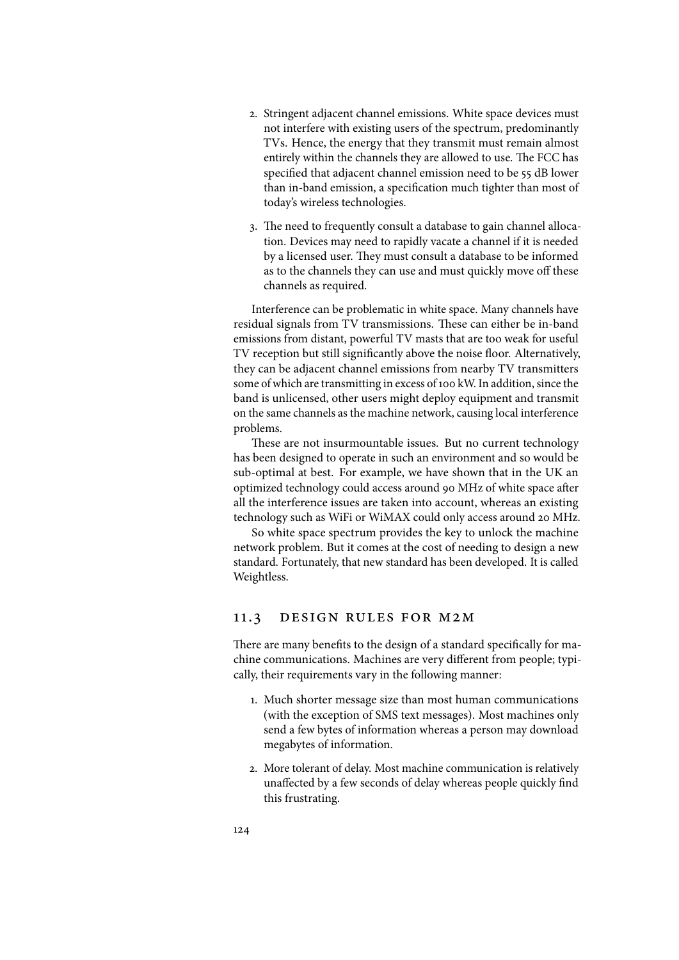- 2. Stringent adjacent channel emissions. White space devices must not interfere with existing users of the spectrum, predominantly TVs. Hence, the energy that they transmit must remain almost entirely within the channels they are allowed to use. The FCC has specified that adjacent channel emission need to be 55 dB lower than in-band emission, a specification much tighter than most of today's wireless technologies.
- 3. The need to frequently consult a database to gain channel allocation. Devices may need to rapidly vacate a channel if it is needed by a licensed user. They must consult a database to be informed as to the channels they can use and must quickly move off these channels as required.

Interference can be problematic in white space. Many channels have residual signals from TV transmissions. These can either be in-band emissions from distant, powerful TV masts that are too weak for useful TV reception but still significantly above the noise floor. Alternatively, they can be adjacent channel emissions from nearby TV transmitters some of which are transmitting in excess of 100 kW. In addition, since the band is unlicensed, other users might deploy equipment and transmit on the same channels as the machine network, causing local interference problems.

These are not insurmountable issues. But no current technology has been designed to operate in such an environment and so would be sub-optimal at best. For example, we have shown that in the UK an optimized technology could access around 90 MHz of white space after all the interference issues are taken into account, whereas an existing technology such as WiFi or WiMAX could only access around 20 MHz.

So white space spectrum provides the key to unlock the machine network problem. But it comes at the cost of needing to design a new standard. Fortunately, that new standard has been developed. It is called Weightless.

#### 11.3 design rules for m2m

There are many benefits to the design of a standard specifically for machine communications. Machines are very different from people; typically, their requirements vary in the following manner:

- 1. Much shorter message size than most human communications (with the exception of SMS text messages). Most machines only send a few bytes of information whereas a person may download megabytes of information.
- 2. More tolerant of delay. Most machine communication is relatively unaffected by a few seconds of delay whereas people quickly find this frustrating.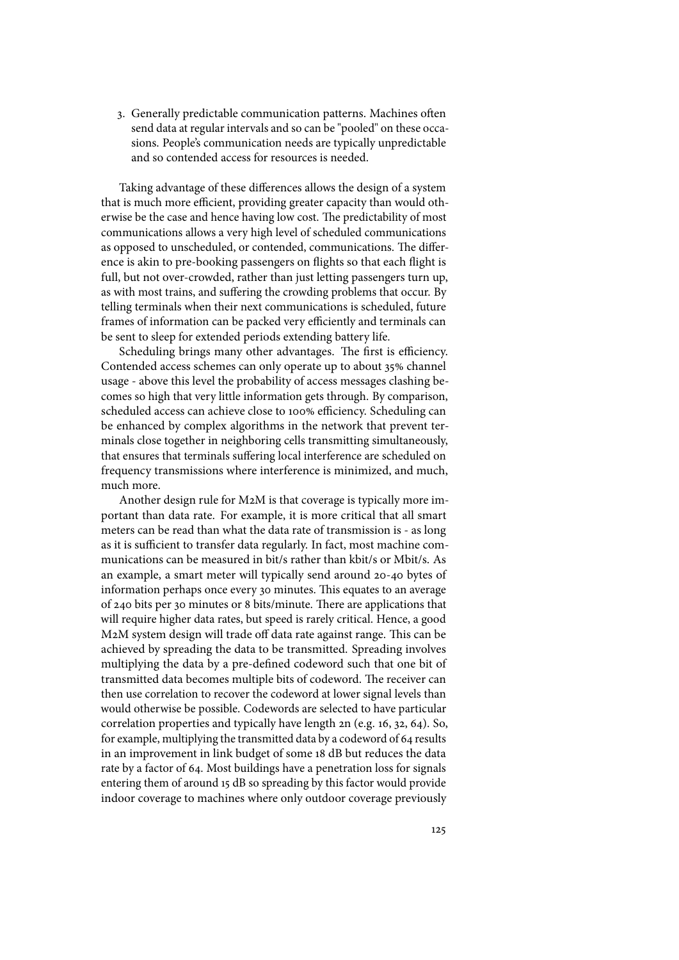3. Generally predictable communication patterns. Machines often send data at regular intervals and so can be "pooled" on these occasions. People's communication needs are typically unpredictable and so contended access for resources is needed.

Taking advantage of these differences allows the design of a system that is much more efficient, providing greater capacity than would otherwise be the case and hence having low cost. The predictability of most communications allows a very high level of scheduled communications as opposed to unscheduled, or contended, communications. The difference is akin to pre-booking passengers on flights so that each flight is full, but not over-crowded, rather than just letting passengers turn up, as with most trains, and suffering the crowding problems that occur. By telling terminals when their next communications is scheduled, future frames of information can be packed very efficiently and terminals can be sent to sleep for extended periods extending battery life.

Scheduling brings many other advantages. The first is efficiency. Contended access schemes can only operate up to about 35% channel usage - above this level the probability of access messages clashing becomes so high that very little information gets through. By comparison, scheduled access can achieve close to 100% efficiency. Scheduling can be enhanced by complex algorithms in the network that prevent terminals close together in neighboring cells transmitting simultaneously, that ensures that terminals suffering local interference are scheduled on frequency transmissions where interference is minimized, and much, much more.

Another design rule for M2M is that coverage is typically more important than data rate. For example, it is more critical that all smart meters can be read than what the data rate of transmission is - as long as it is sufficient to transfer data regularly. In fact, most machine communications can be measured in bit/s rather than kbit/s or Mbit/s. As an example, a smart meter will typically send around 20-40 bytes of information perhaps once every 30 minutes. This equates to an average of 240 bits per 30 minutes or 8 bits/minute. There are applications that will require higher data rates, but speed is rarely critical. Hence, a good M2M system design will trade off data rate against range. This can be achieved by spreading the data to be transmitted. Spreading involves multiplying the data by a pre-defined codeword such that one bit of transmitted data becomes multiple bits of codeword. The receiver can then use correlation to recover the codeword at lower signal levels than would otherwise be possible. Codewords are selected to have particular correlation properties and typically have length 2n (e.g. 16, 32, 64). So, for example, multiplying the transmitted data by a codeword of 64 results in an improvement in link budget of some 18 dB but reduces the data rate by a factor of 64. Most buildings have a penetration loss for signals entering them of around 15 dB so spreading by this factor would provide indoor coverage to machines where only outdoor coverage previously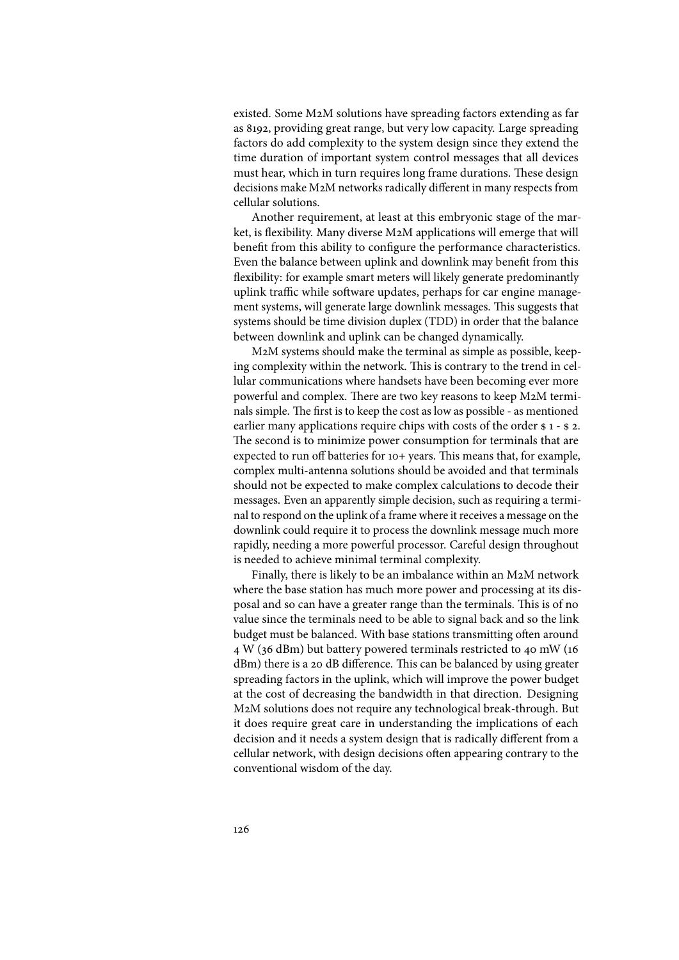existed. Some M2M solutions have spreading factors extending as far as 8192, providing great range, but very low capacity. Large spreading factors do add complexity to the system design since they extend the time duration of important system control messages that all devices must hear, which in turn requires long frame durations. These design decisions make M2M networks radically different in many respects from cellular solutions.

Another requirement, at least at this embryonic stage of the market, is flexibility. Many diverse M2M applications will emerge that will benefit from this ability to configure the performance characteristics. Even the balance between uplink and downlink may benefit from this flexibility: for example smart meters will likely generate predominantly uplink traffic while software updates, perhaps for car engine management systems, will generate large downlink messages. This suggests that systems should be time division duplex (TDD) in order that the balance between downlink and uplink can be changed dynamically.

M2M systems should make the terminal as simple as possible, keeping complexity within the network. This is contrary to the trend in cellular communications where handsets have been becoming ever more powerful and complex. There are two key reasons to keep M2M terminals simple. The first is to keep the cost as low as possible - as mentioned earlier many applications require chips with costs of the order  $$1 - $2$ . The second is to minimize power consumption for terminals that are expected to run off batteries for 10+ years. This means that, for example, complex multi-antenna solutions should be avoided and that terminals should not be expected to make complex calculations to decode their messages. Even an apparently simple decision, such as requiring a terminal to respond on the uplink of a frame where it receives a message on the downlink could require it to process the downlink message much more rapidly, needing a more powerful processor. Careful design throughout is needed to achieve minimal terminal complexity.

Finally, there is likely to be an imbalance within an M2M network where the base station has much more power and processing at its disposal and so can have a greater range than the terminals. This is of no value since the terminals need to be able to signal back and so the link budget must be balanced. With base stations transmitting often around 4 W (36 dBm) but battery powered terminals restricted to 40 mW (16  $dBm$ ) there is a 20  $dB$  difference. This can be balanced by using greater spreading factors in the uplink, which will improve the power budget at the cost of decreasing the bandwidth in that direction. Designing M2M solutions does not require any technological break-through. But it does require great care in understanding the implications of each decision and it needs a system design that is radically different from a cellular network, with design decisions often appearing contrary to the conventional wisdom of the day.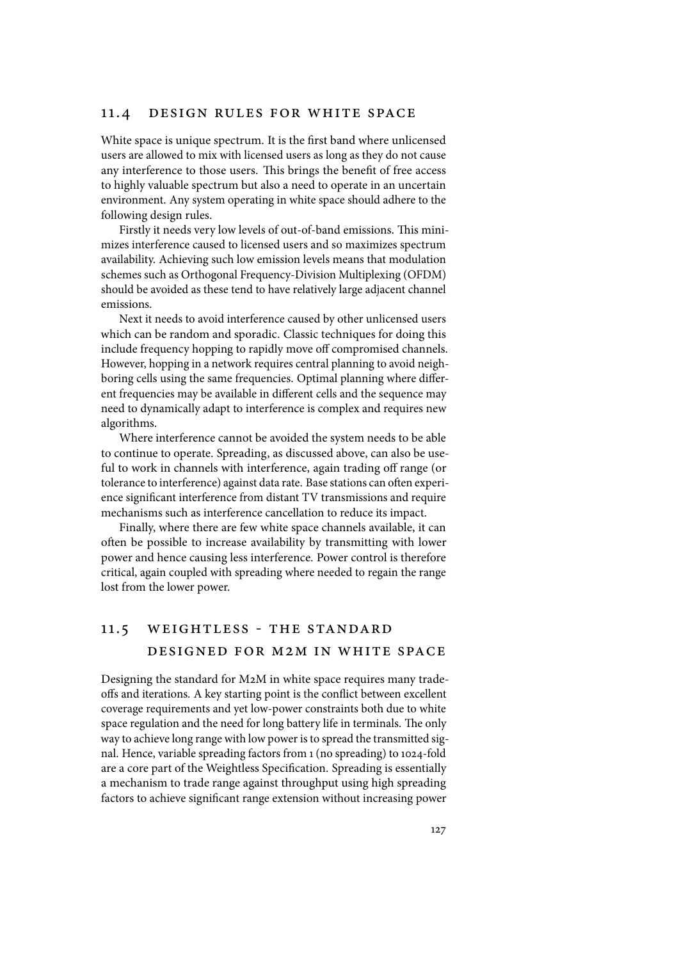#### 11.4 design rules for white space

White space is unique spectrum. It is the first band where unlicensed users are allowed to mix with licensed users as long as they do not cause any interference to those users. This brings the benefit of free access to highly valuable spectrum but also a need to operate in an uncertain environment. Any system operating in white space should adhere to the following design rules.

Firstly it needs very low levels of out-of-band emissions. This minimizes interference caused to licensed users and so maximizes spectrum availability. Achieving such low emission levels means that modulation schemes such as Orthogonal Frequency-Division Multiplexing (OFDM) should be avoided as these tend to have relatively large adjacent channel emissions.

Next it needs to avoid interference caused by other unlicensed users which can be random and sporadic. Classic techniques for doing this include frequency hopping to rapidly move off compromised channels. However, hopping in a network requires central planning to avoid neighboring cells using the same frequencies. Optimal planning where different frequencies may be available in different cells and the sequence may need to dynamically adapt to interference is complex and requires new algorithms.

Where interference cannot be avoided the system needs to be able to continue to operate. Spreading, as discussed above, can also be useful to work in channels with interference, again trading off range (or tolerance to interference) against data rate. Base stations can often experience significant interference from distant TV transmissions and require mechanisms such as interference cancellation to reduce its impact.

Finally, where there are few white space channels available, it can often be possible to increase availability by transmitting with lower power and hence causing less interference. Power control is therefore critical, again coupled with spreading where needed to regain the range lost from the lower power.

# 11.5 weightless - the standard designed for m2m in white space

Designing the standard for M2M in white space requires many tradeoffs and iterations. A key starting point is the conflict between excellent coverage requirements and yet low-power constraints both due to white space regulation and the need for long battery life in terminals. The only way to achieve long range with low power is to spread the transmitted signal. Hence, variable spreading factors from 1 (no spreading) to 1024-fold are a core part of the Weightless Specification. Spreading is essentially a mechanism to trade range against throughput using high spreading factors to achieve significant range extension without increasing power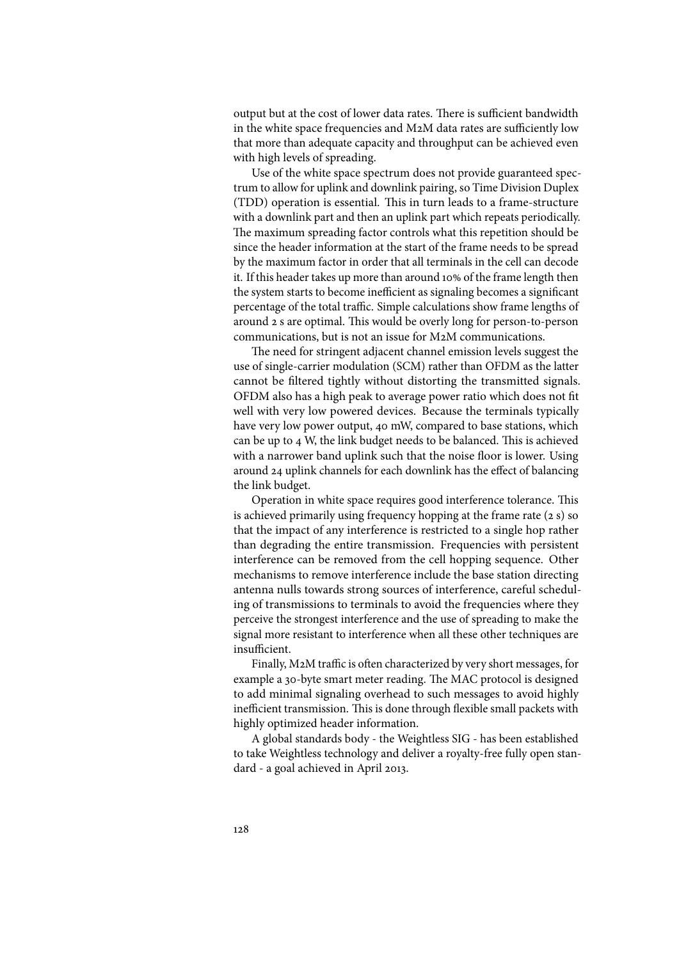output but at the cost of lower data rates. There is sufficient bandwidth in the white space frequencies and M2M data rates are sufficiently low that more than adequate capacity and throughput can be achieved even with high levels of spreading.

Use of the white space spectrum does not provide guaranteed spectrum to allow for uplink and downlink pairing, so Time Division Duplex (TDD) operation is essential. This in turn leads to a frame-structure with a downlink part and then an uplink part which repeats periodically. The maximum spreading factor controls what this repetition should be since the header information at the start of the frame needs to be spread by the maximum factor in order that all terminals in the cell can decode it. If this header takes up more than around 10% of the frame length then the system starts to become inefficient as signaling becomes a significant percentage of the total traffic. Simple calculations show frame lengths of around 2 s are optimal. This would be overly long for person-to-person communications, but is not an issue for M2M communications.

The need for stringent adjacent channel emission levels suggest the use of single-carrier modulation (SCM) rather than OFDM as the latter cannot be filtered tightly without distorting the transmitted signals. OFDM also has a high peak to average power ratio which does not fit well with very low powered devices. Because the terminals typically have very low power output, 40 mW, compared to base stations, which can be up to 4 W, the link budget needs to be balanced. This is achieved with a narrower band uplink such that the noise floor is lower. Using around 24 uplink channels for each downlink has the effect of balancing the link budget.

Operation in white space requires good interference tolerance. This is achieved primarily using frequency hopping at the frame rate (2 s) so that the impact of any interference is restricted to a single hop rather than degrading the entire transmission. Frequencies with persistent interference can be removed from the cell hopping sequence. Other mechanisms to remove interference include the base station directing antenna nulls towards strong sources of interference, careful scheduling of transmissions to terminals to avoid the frequencies where they perceive the strongest interference and the use of spreading to make the signal more resistant to interference when all these other techniques are insufficient.

Finally, M2M traffic is often characterized by very short messages, for example a 30-byte smart meter reading. The MAC protocol is designed to add minimal signaling overhead to such messages to avoid highly inefficient transmission. This is done through flexible small packets with highly optimized header information.

A global standards body - the Weightless SIG - has been established to take Weightless technology and deliver a royalty-free fully open standard - a goal achieved in April 2013.